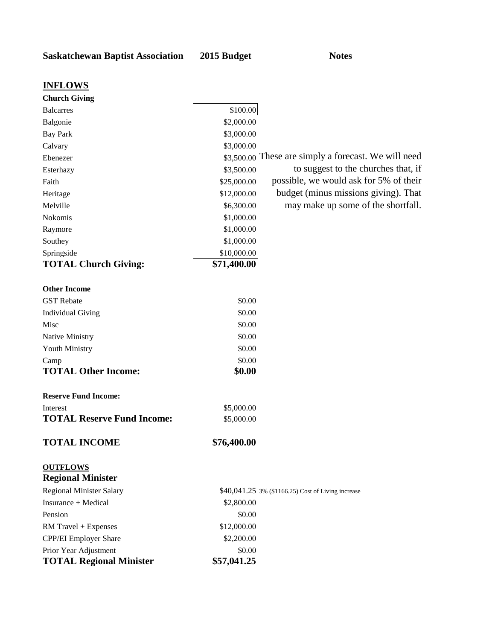| <b>Church Giving</b>              |             |                                                      |
|-----------------------------------|-------------|------------------------------------------------------|
| <b>Balcarres</b>                  | \$100.00    |                                                      |
| Balgonie                          | \$2,000.00  |                                                      |
| <b>Bay Park</b>                   | \$3,000.00  |                                                      |
| Calvary                           | \$3,000.00  |                                                      |
| Ebenezer                          |             | \$3,500.00 These are simply a forecast. We will need |
| Esterhazy                         | \$3,500.00  | to suggest to the churches that, if                  |
| Faith                             | \$25,000.00 | possible, we would ask for 5% of their               |
| Heritage                          | \$12,000.00 | budget (minus missions giving). That                 |
| Melville                          | \$6,300.00  | may make up some of the shortfall.                   |
| Nokomis                           | \$1,000.00  |                                                      |
| Raymore                           | \$1,000.00  |                                                      |
| Southey                           | \$1,000.00  |                                                      |
| Springside                        | \$10,000.00 |                                                      |
| <b>TOTAL Church Giving:</b>       | \$71,400.00 |                                                      |
|                                   |             |                                                      |
| <b>Other Income</b>               |             |                                                      |
| <b>GST</b> Rebate                 | \$0.00      |                                                      |
| <b>Individual Giving</b>          | \$0.00      |                                                      |
| Misc                              | \$0.00      |                                                      |
| Native Ministry                   | \$0.00      |                                                      |
| Youth Ministry                    | \$0.00      |                                                      |
| Camp                              | \$0.00      |                                                      |
| <b>TOTAL Other Income:</b>        | \$0.00      |                                                      |
| <b>Reserve Fund Income:</b>       |             |                                                      |
| Interest                          | \$5,000.00  |                                                      |
| <b>TOTAL Reserve Fund Income:</b> | \$5,000.00  |                                                      |
|                                   |             |                                                      |
| <b>TOTAL INCOME</b>               | \$76,400.00 |                                                      |
| <b>OUTFLOWS</b>                   |             |                                                      |
| <b>Regional Minister</b>          |             |                                                      |
| <b>Regional Minister Salary</b>   |             | \$40,041.25 3% (\$1166.25) Cost of Living increase   |
| Insurance + Medical               | \$2,800.00  |                                                      |
| Pension                           | \$0.00      |                                                      |
| RM Travel + Expenses              | \$12,000.00 |                                                      |
| CPP/EI Employer Share             | \$2,200.00  |                                                      |
| Prior Year Adjustment             | \$0.00      |                                                      |
| <b>TOTAL Regional Minister</b>    | \$57,041.25 |                                                      |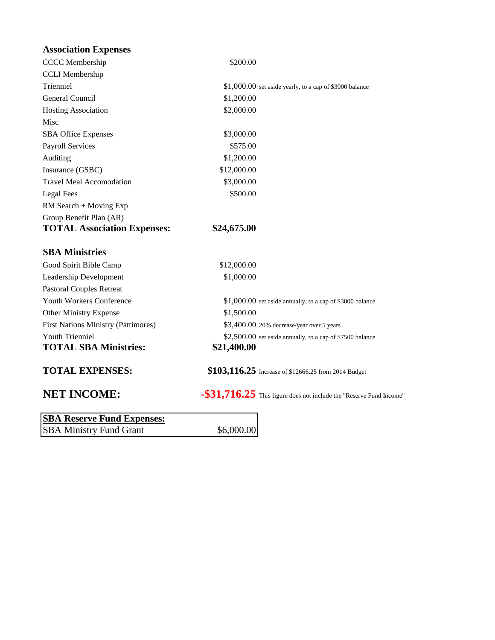| <b>Association Expenses</b> |  |
|-----------------------------|--|
|-----------------------------|--|

| <b>CCCC</b> Membership              | \$200.00    |                                                                        |
|-------------------------------------|-------------|------------------------------------------------------------------------|
| <b>CCLI</b> Membership              |             |                                                                        |
| Trienniel                           |             | $$1,000.00$ set aside yearly, to a cap of \$3000 balance               |
| General Council                     | \$1,200.00  |                                                                        |
| <b>Hosting Association</b>          | \$2,000.00  |                                                                        |
| Misc                                |             |                                                                        |
| <b>SBA Office Expenses</b>          | \$3,000.00  |                                                                        |
| <b>Payroll Services</b>             | \$575.00    |                                                                        |
| Auditing                            | \$1,200.00  |                                                                        |
| Insurance (GSBC)                    | \$12,000.00 |                                                                        |
| <b>Travel Meal Accomodation</b>     | \$3,000.00  |                                                                        |
| Legal Fees                          | \$500.00    |                                                                        |
| RM Search + Moving Exp              |             |                                                                        |
| Group Benefit Plan (AR)             |             |                                                                        |
| <b>TOTAL Association Expenses:</b>  | \$24,675.00 |                                                                        |
| <b>SBA Ministries</b>               |             |                                                                        |
| Good Spirit Bible Camp              | \$12,000.00 |                                                                        |
| Leadership Development              | \$1,000.00  |                                                                        |
| <b>Pastoral Couples Retreat</b>     |             |                                                                        |
| Youth Workers Conference            |             | \$1,000.00 set aside annually, to a cap of \$3000 balance              |
| <b>Other Ministry Expense</b>       | \$1,500.00  |                                                                        |
| First Nations Ministry (Pattimores) |             | \$3,400.00 20% decrease/year over 5 years                              |
| <b>Youth Trienniel</b>              |             | \$2,500.00 set aside annually, to a cap of \$7500 balance              |
| <b>TOTAL SBA Ministries:</b>        | \$21,400.00 |                                                                        |
|                                     |             |                                                                        |
| <b>TOTAL EXPENSES:</b>              |             | \$103,116.25 Increase of \$12666.25 from 2014 Budget                   |
| <b>NET INCOME:</b>                  |             | $-$ \$31,716.25 This figure does not include the "Reserve Fund Income" |
| <b>SBA Reserve Fund Expenses:</b>   |             |                                                                        |
| <b>SBA Ministry Fund Grant</b>      | \$6,000.00  |                                                                        |